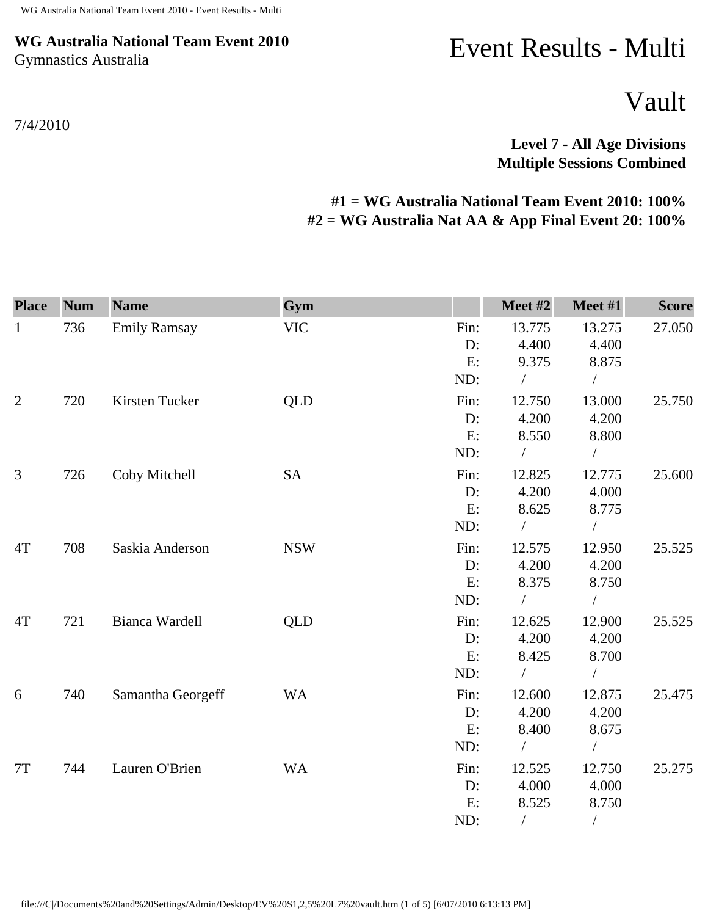## **WG Australia National Team Event 2010** Gymnastics Australia

Event Results - Multi

Vault

**Level 7 - All Age Divisions Multiple Sessions Combined** 

## **#1 = WG Australia National Team Event 2010: 100% #2 = WG Australia Nat AA & App Final Event 20: 100%**

| <b>Place</b>   | <b>Num</b> | <b>Name</b>         | Gym        |      | Meet #2    | Meet #1       | <b>Score</b> |
|----------------|------------|---------------------|------------|------|------------|---------------|--------------|
| $\mathbf{1}$   | 736        | <b>Emily Ramsay</b> | <b>VIC</b> | Fin: | 13.775     | 13.275        | 27.050       |
|                |            |                     |            | D:   | 4.400      | 4.400         |              |
|                |            |                     |            | E:   | 9.375      | 8.875         |              |
|                |            |                     |            | ND:  | $\sqrt{2}$ | $\sqrt{2}$    |              |
| $\overline{2}$ | 720        | Kirsten Tucker      | QLD        | Fin: | 12.750     | 13.000        | 25.750       |
|                |            |                     |            | D:   | 4.200      | 4.200         |              |
|                |            |                     |            | E:   | 8.550      | 8.800         |              |
|                |            |                     |            | ND:  |            | $\sqrt{2}$    |              |
| $\mathfrak{Z}$ | 726        | Coby Mitchell       | <b>SA</b>  | Fin: | 12.825     | 12.775        | 25.600       |
|                |            |                     |            | D:   | 4.200      | 4.000         |              |
|                |            |                     |            | E:   | 8.625      | 8.775         |              |
|                |            |                     |            | ND:  |            | $\bigg)$      |              |
| 4T             | 708        | Saskia Anderson     | <b>NSW</b> | Fin: | 12.575     | 12.950        | 25.525       |
|                |            |                     |            | D:   | 4.200      | 4.200         |              |
|                |            |                     |            | E:   | 8.375      | 8.750         |              |
|                |            |                     |            | ND:  | $\sqrt{2}$ | $\sqrt{2}$    |              |
| 4T             | 721        | Bianca Wardell      | <b>QLD</b> | Fin: | 12.625     | 12.900        | 25.525       |
|                |            |                     |            | D:   | 4.200      | 4.200         |              |
|                |            |                     |            | E:   | 8.425      | 8.700         |              |
|                |            |                     |            | ND:  |            | $\sqrt{2}$    |              |
| 6              | 740        | Samantha Georgeff   | <b>WA</b>  | Fin: | 12.600     | 12.875        | 25.475       |
|                |            |                     |            | D:   | 4.200      | 4.200         |              |
|                |            |                     |            | E:   | 8.400      | 8.675         |              |
|                |            |                     |            | ND:  |            | $\sqrt{2}$    |              |
| 7T             | 744        | Lauren O'Brien      | <b>WA</b>  | Fin: | 12.525     | 12.750        | 25.275       |
|                |            |                     |            | D:   | 4.000      | 4.000         |              |
|                |            |                     |            | E:   | 8.525      | 8.750         |              |
|                |            |                     |            | ND:  | $\sqrt{2}$ | $\frac{1}{2}$ |              |

7/4/2010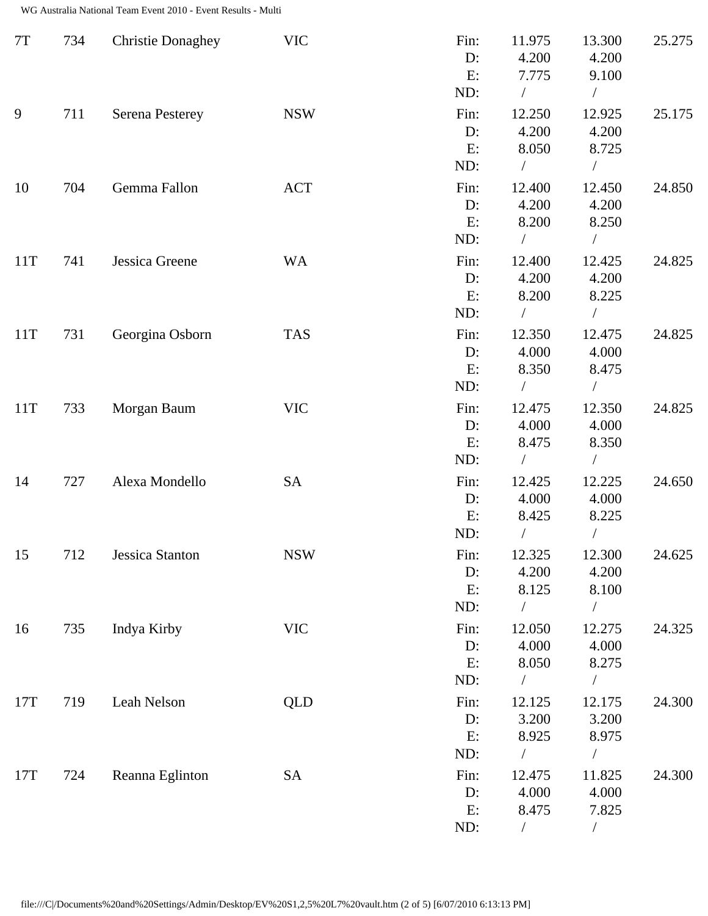| 7T  | 734 | <b>Christie Donaghey</b> | <b>VIC</b> | Fin:<br>D:<br>E:<br>ND:    | 11.975<br>4.200<br>7.775<br>$\sqrt{2}$ | 13.300<br>4.200<br>9.100<br>$\sqrt{2}$               | 25.275 |
|-----|-----|--------------------------|------------|----------------------------|----------------------------------------|------------------------------------------------------|--------|
| 9   | 711 | <b>Serena Pesterey</b>   | <b>NSW</b> | Fin:<br>$D$ :<br>E:<br>ND: | 12.250<br>4.200<br>8.050               | 12.925<br>4.200<br>8.725<br>$\overline{1}$           | 25.175 |
| 10  | 704 | Gemma Fallon             | <b>ACT</b> | Fin:<br>D:<br>E:<br>ND:    | 12.400<br>4.200<br>8.200<br>$\sqrt{2}$ | 12.450<br>4.200<br>8.250<br>$\bigg)$                 | 24.850 |
| 11T | 741 | Jessica Greene           | <b>WA</b>  | Fin:<br>$D$ :<br>E:<br>ND: | 12.400<br>4.200<br>8.200<br>$\sqrt{2}$ | 12.425<br>4.200<br>8.225                             | 24.825 |
| 11T | 731 | Georgina Osborn          | <b>TAS</b> | Fin:<br>D:<br>E:<br>ND:    | 12.350<br>4.000<br>8.350<br>$\bigg)$   | 12.475<br>4.000<br>8.475<br>$\overline{\phantom{a}}$ | 24.825 |
| 11T | 733 | Morgan Baum              | <b>VIC</b> | Fin:<br>D:<br>E:<br>ND:    | 12.475<br>4.000<br>8.475<br>$\bigg)$   | 12.350<br>4.000<br>8.350<br>$\sqrt{2}$               | 24.825 |
| 14  | 727 | Alexa Mondello           | <b>SA</b>  | Fin:<br>D:<br>E:<br>ND:    | 12.425<br>4.000<br>8.425               | 12.225<br>4.000<br>8.225<br>/                        | 24.650 |
| 15  | 712 | Jessica Stanton          | <b>NSW</b> | Fin:<br>D:<br>E:<br>ND:    | 12.325<br>4.200<br>8.125<br>$\sqrt{2}$ | 12.300<br>4.200<br>8.100<br>$\sqrt{2}$               | 24.625 |
| 16  | 735 | Indya Kirby              | <b>VIC</b> | Fin:<br>$D$ :<br>E:<br>ND: | 12.050<br>4.000<br>8.050               | 12.275<br>4.000<br>8.275                             | 24.325 |
| 17T | 719 | Leah Nelson              | <b>QLD</b> | Fin:<br>D:<br>E:<br>ND:    | 12.125<br>3.200<br>8.925<br>$\sqrt{2}$ | 12.175<br>3.200<br>8.975<br>$\sqrt{2}$               | 24.300 |
| 17T | 724 | Reanna Eglinton          | <b>SA</b>  | Fin:<br>D:<br>E:<br>ND:    | 12.475<br>4.000<br>8.475<br>$\sqrt{2}$ | 11.825<br>4.000<br>7.825<br>$\sqrt{2}$               | 24.300 |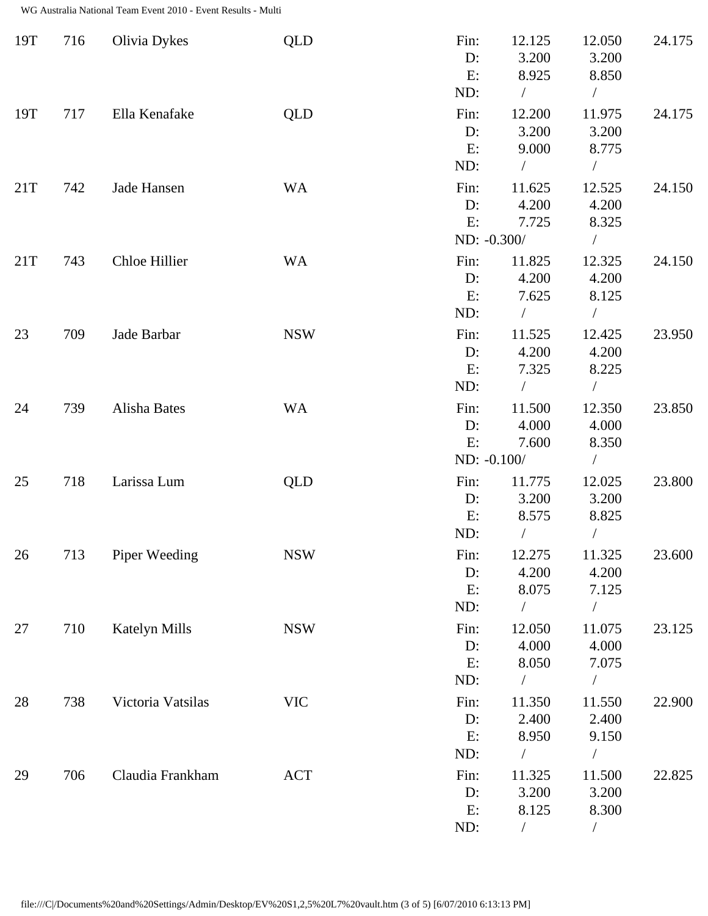| 19T | 716 | Olivia Dykes         | <b>QLD</b> | Fin:<br>D:<br>E:<br>ND:         | 12.125<br>3.200<br>8.925<br>$\sqrt{2}$ | 12.050<br>3.200<br>8.850<br>$\sqrt{2}$      | 24.175 |
|-----|-----|----------------------|------------|---------------------------------|----------------------------------------|---------------------------------------------|--------|
| 19T | 717 | Ella Kenafake        | <b>QLD</b> | Fin:<br>D:<br>E:<br>ND:         | 12.200<br>3.200<br>9.000<br>$\sqrt{2}$ | 11.975<br>3.200<br>8.775<br>$\sqrt{2}$      | 24.175 |
| 21T | 742 | Jade Hansen          | <b>WA</b>  | Fin:<br>D:<br>E:<br>ND: -0.300/ | 11.625<br>4.200<br>7.725               | 12.525<br>4.200<br>8.325<br>$\sqrt{2}$      | 24.150 |
| 21T | 743 | Chloe Hillier        | <b>WA</b>  | Fin:<br>$D$ :<br>E:<br>ND:      | 11.825<br>4.200<br>7.625<br>$\sqrt{2}$ | 12.325<br>4.200<br>8.125<br>$\sqrt{2}$      | 24.150 |
| 23  | 709 | Jade Barbar          | <b>NSW</b> | Fin:<br>D:<br>E:<br>ND:         | 11.525<br>4.200<br>7.325<br>$\sqrt{2}$ | 12.425<br>4.200<br>8.225<br>$\sqrt{2}$      | 23.950 |
| 24  | 739 | Alisha Bates         | <b>WA</b>  | Fin:<br>D:<br>E:<br>ND: -0.100/ | 11.500<br>4.000<br>7.600               | 12.350<br>4.000<br>8.350<br>$\sqrt{2}$      | 23.850 |
| 25  | 718 | Larissa Lum          | <b>QLD</b> | Fin:<br>D:<br>E:<br>ND:         | 11.775<br>3.200<br>8.575               | 12.025<br>3.200<br>8.825<br>/               | 23.800 |
| 26  | 713 | Piper Weeding        | <b>NSW</b> | Fin:<br>D:<br>E:<br>ND:         | 12.275<br>4.200<br>8.075<br>$\sqrt{2}$ | 11.325<br>4.200<br>7.125<br>$\sqrt{2}$      | 23.600 |
| 27  | 710 | <b>Katelyn Mills</b> | <b>NSW</b> | Fin:<br>$D$ :<br>E:<br>ND:      | 12.050<br>4.000<br>8.050               | 11.075<br>4.000<br>7.075                    | 23.125 |
| 28  | 738 | Victoria Vatsilas    | <b>VIC</b> | Fin:<br>$D$ :<br>E:<br>ND:      | 11.350<br>2.400<br>8.950               | 11.550<br>2.400<br>9.150                    | 22.900 |
| 29  | 706 | Claudia Frankham     | <b>ACT</b> | Fin:<br>D:<br>E:<br>ND:         | 11.325<br>3.200<br>8.125               | Т<br>11.500<br>3.200<br>8.300<br>$\sqrt{2}$ | 22.825 |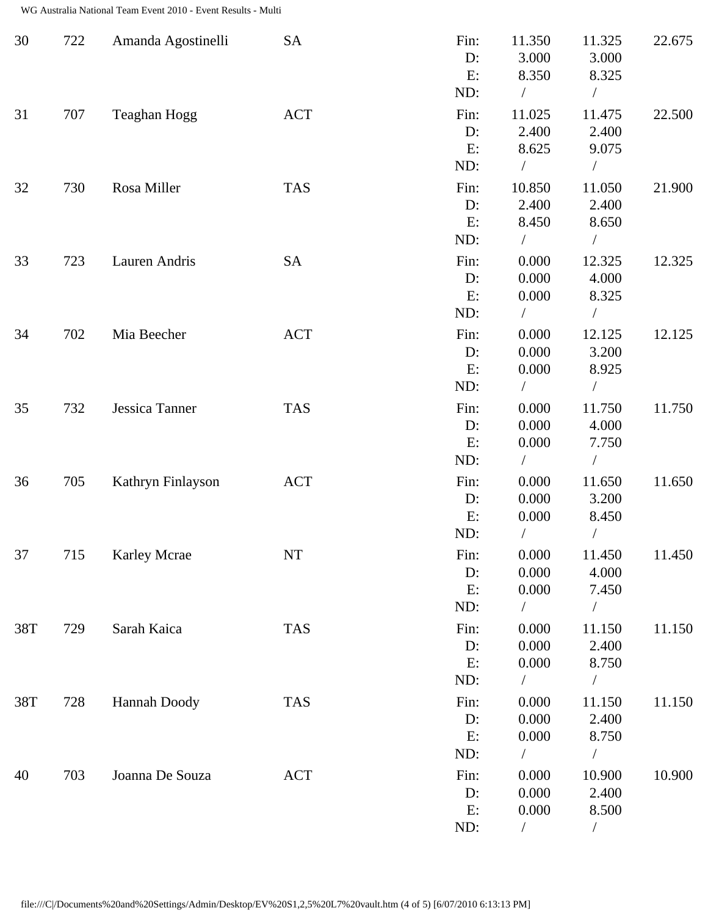| 30  | 722 | Amanda Agostinelli  | <b>SA</b>        | Fin:<br>D:<br>E: | 11.350<br>3.000<br>8.350 | 11.325<br>3.000<br>8.325 | 22.675 |
|-----|-----|---------------------|------------------|------------------|--------------------------|--------------------------|--------|
|     |     |                     |                  | ND:              | $\bigg)$                 | $\sqrt{2}$               |        |
| 31  | 707 | Teaghan Hogg        | $\mathbf{ACT}\,$ | Fin:             | 11.025                   | 11.475                   | 22.500 |
|     |     |                     |                  | D:               | 2.400                    | 2.400                    |        |
|     |     |                     |                  | E:               | 8.625                    | 9.075                    |        |
|     |     |                     |                  | ND:              | $\sqrt{2}$               | $\overline{1}$           |        |
| 32  | 730 | Rosa Miller         | <b>TAS</b>       | Fin:             | 10.850                   | 11.050                   | 21.900 |
|     |     |                     |                  | D:               | 2.400                    | 2.400                    |        |
|     |     |                     |                  | E:               | 8.450                    | 8.650                    |        |
|     |     |                     |                  | ND:              | $\sqrt{2}$               | $\sqrt{2}$               |        |
| 33  | 723 | Lauren Andris       | SA               | Fin:             | 0.000                    | 12.325                   | 12.325 |
|     |     |                     |                  | D:               | 0.000                    | 4.000                    |        |
|     |     |                     |                  | E:               | 0.000                    | 8.325                    |        |
|     |     |                     |                  | ND:              | $\sqrt{2}$               | Т                        |        |
| 34  | 702 | Mia Beecher         | <b>ACT</b>       | Fin:             | 0.000                    | 12.125                   | 12.125 |
|     |     |                     |                  | D:               | 0.000                    | 3.200                    |        |
|     |     |                     |                  | E:               | 0.000                    | 8.925                    |        |
|     |     |                     |                  | ND:              | $\sqrt{2}$               | $\sqrt{2}$               |        |
| 35  | 732 | Jessica Tanner      | <b>TAS</b>       | Fin:             | 0.000                    | 11.750                   | 11.750 |
|     |     |                     |                  | D:               | 0.000                    | 4.000                    |        |
|     |     |                     |                  | E:               | 0.000                    | 7.750                    |        |
|     |     |                     |                  | ND:              | $\bigg)$                 | $\bigg)$                 |        |
| 36  | 705 | Kathryn Finlayson   | ACT              | Fin:             | 0.000                    | 11.650                   | 11.650 |
|     |     |                     |                  | D:               | 0.000                    | 3.200                    |        |
|     |     |                     |                  | E:               | 0.000                    | 8.450                    |        |
|     |     |                     |                  | ND:              | $\sqrt{2}$               |                          |        |
| 37  | 715 | <b>Karley Mcrae</b> | <b>NT</b>        | Fin:             | 0.000                    | 11.450                   | 11.450 |
|     |     |                     |                  | D:               | 0.000                    | 4.000                    |        |
|     |     |                     |                  | E:               | 0.000                    | 7.450                    |        |
|     |     |                     |                  | ND:              | $\sqrt{2}$               | $\sqrt{2}$               |        |
| 38T | 729 | Sarah Kaica         | <b>TAS</b>       | Fin:             | 0.000                    | 11.150                   | 11.150 |
|     |     |                     |                  | $D$ :            | 0.000                    | 2.400                    |        |
|     |     |                     |                  | E:               | 0.000                    | 8.750                    |        |
|     |     |                     |                  | ND:              | $\sqrt{2}$               | Т                        |        |
| 38T | 728 | Hannah Doody        | <b>TAS</b>       | Fin:             | 0.000                    | 11.150                   | 11.150 |
|     |     |                     |                  | D:               | 0.000                    | 2.400                    |        |
|     |     |                     |                  | E:               | 0.000                    | 8.750                    |        |
|     |     |                     |                  | ND:              | $\sqrt{2}$               | $\sqrt{2}$               |        |
| 40  | 703 | Joanna De Souza     | ACT              | Fin:             | 0.000                    | 10.900                   | 10.900 |
|     |     |                     |                  | D:               | 0.000                    | 2.400                    |        |
|     |     |                     |                  | E:               | 0.000                    | 8.500                    |        |
|     |     |                     |                  | ND:              | $\bigg)$                 | $\sqrt{2}$               |        |